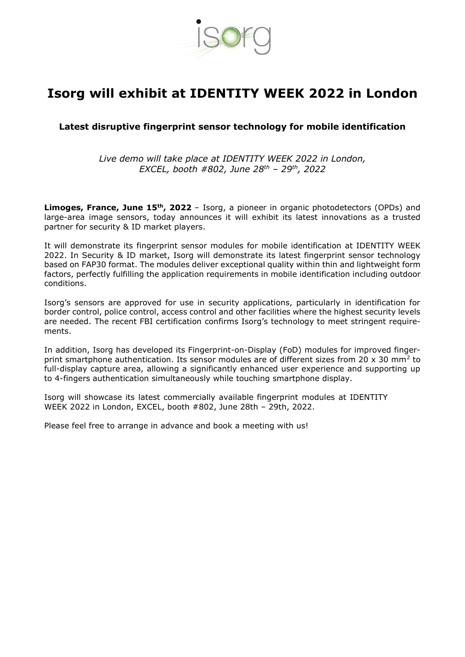

## **Isorg will exhibit at IDENTITY WEEK 2022 in London**

## **Latest disruptive fingerprint sensor technology for mobile identification**

*Live demo will take place at IDENTITY WEEK 2022 in London, EXCEL, booth #802, June 28th – 29th, 2022*

**Limoges, France, June 15th, 2022** – Isorg, a pioneer in organic photodetectors (OPDs) and large-area image sensors, today announces it will exhibit its latest innovations as a trusted partner for security & ID market players.

It will demonstrate its fingerprint sensor modules for mobile identification at IDENTITY WEEK 2022. In Security & ID market, Isorg will demonstrate its latest fingerprint sensor technology based on FAP30 format. The modules deliver exceptional quality within thin and lightweight form factors, perfectly fulfilling the application requirements in mobile identification including outdoor conditions.

Isorg's sensors are approved for use in security applications, particularly in identification for border control, police control, access control and other facilities where the highest security levels are needed. The recent FBI certification confirms Isorg's technology to meet stringent requirements.

In addition, Isorg has developed its Fingerprint-on-Display (FoD) modules for improved fingerprint smartphone authentication. Its sensor modules are of different sizes from 20 x 30 mm<sup>2</sup> to full-display capture area, allowing a significantly enhanced user experience and supporting up to 4-fingers authentication simultaneously while touching smartphone display.

Isorg will showcase its latest commercially available fingerprint modules at IDENTITY WEEK 2022 in London, EXCEL, booth #802, June 28th – 29th, 2022.

Please feel free to arrange in advance and book a meeting with us!